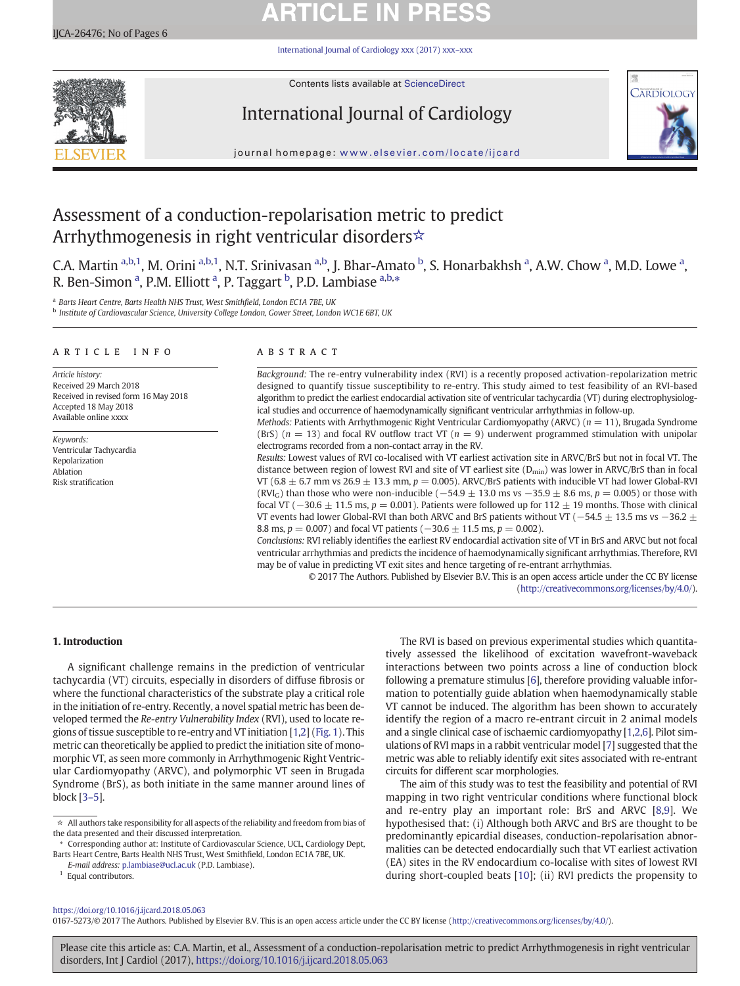# **ARTICLE IN PRESS**

[International Journal of Cardiology xxx \(2017\) xxx](https://doi.org/10.1016/j.ijcard.2018.05.063)–xxx



Contents lists available at [ScienceDirect](http://www.sciencedirect.com/science/journal/)

# International Journal of Cardiology



journal homepage: <www.elsevier.com/locate/ijcard>

# Assessment of a conduction-repolarisation metric to predict Arrhythmogenesis in right ventricular disorders☆

C.A. Martin <sup>a,b,1</sup>, M. Orini <sup>a,b,1</sup>, N.T. Srinivasan <sup>a,b</sup>, J. Bhar-Amato <sup>b</sup>, S. Honarbakhsh <sup>a</sup>, A.W. Chow <sup>a</sup>, M.D. Lowe <sup>a</sup>, R. Ben-Simon <sup>a</sup>, P.M. Elliott <sup>a</sup>, P. Taggart <sup>b</sup>, P.D. Lambiase <sup>a,b,</sup>\*

<sup>a</sup> Barts Heart Centre, Barts Health NHS Trust, West Smithfield, London EC1A 7BE, UK **b** Institute of Cardiovascular Science, University College London, Gower Street, London WC1E 6BT, UK

### article info abstract

Article history: Received 29 March 2018 Received in revised form 16 May 2018 Accepted 18 May 2018 Available online xxxx

Keywords: Ventricular Tachycardia Repolarization Ablation Risk stratification

Background: The re-entry vulnerability index (RVI) is a recently proposed activation-repolarization metric designed to quantify tissue susceptibility to re-entry. This study aimed to test feasibility of an RVI-based algorithm to predict the earliest endocardial activation site of ventricular tachycardia (VT) during electrophysiological studies and occurrence of haemodynamically significant ventricular arrhythmias in follow-up.

*Methods: Patients with Arrhythmogenic Right Ventricular Cardiomyopathy (ARVC) (* $n = 11$ *), Brugada Syndrome* (BrS) ( $n = 13$ ) and focal RV outflow tract VT ( $n = 9$ ) underwent programmed stimulation with unipolar electrograms recorded from a non-contact array in the RV.

Results: Lowest values of RVI co-localised with VT earliest activation site in ARVC/BrS but not in focal VT. The distance between region of lowest RVI and site of VT earliest site  $(D_{\text{min}})$  was lower in ARVC/BrS than in focal VT (6.8  $\pm$  6.7 mm vs 26.9  $\pm$  13.3 mm,  $p = 0.005$ ). ARVC/BrS patients with inducible VT had lower Global-RVI (RVI<sub>G</sub>) than those who were non-inducible ( $-54.9 \pm 13.0$  ms vs  $-35.9 \pm 8.6$  ms,  $p = 0.005$ ) or those with focal VT ( $-30.6 \pm 11.5$  ms,  $p = 0.001$ ). Patients were followed up for  $112 \pm 19$  months. Those with clinical VT events had lower Global-RVI than both ARVC and BrS patients without VT ( $-54.5 \pm 13.5$  ms vs  $-36.2 \pm$ 8.8 ms,  $p = 0.007$ ) and focal VT patients ( $-30.6 \pm 11.5$  ms,  $p = 0.002$ ).

Conclusions: RVI reliably identifies the earliest RV endocardial activation site of VT in BrS and ARVC but not focal ventricular arrhythmias and predicts the incidence of haemodynamically significant arrhythmias. Therefore, RVI may be of value in predicting VT exit sites and hence targeting of re-entrant arrhythmias.

> © 2017 The Authors. Published by Elsevier B.V. This is an open access article under the CC BY license [\(http://creativecommons.org/licenses/by/4.0/\)](http://creativecommons.org/licenses/by/4.0/).

# 1. Introduction

A significant challenge remains in the prediction of ventricular tachycardia (VT) circuits, especially in disorders of diffuse fibrosis or where the functional characteristics of the substrate play a critical role in the initiation of re-entry. Recently, a novel spatial metric has been developed termed the Re-entry Vulnerability Index (RVI), used to locate regions of tissue susceptible to re-entry and VT initiation [[1,2\]](#page-4-0) [\(Fig. 1](#page-1-0)). This metric can theoretically be applied to predict the initiation site of monomorphic VT, as seen more commonly in Arrhythmogenic Right Ventricular Cardiomyopathy (ARVC), and polymorphic VT seen in Brugada Syndrome (BrS), as both initiate in the same manner around lines of block [\[3](#page-5-0)–5].

E-mail address: <p.lambiase@ucl.ac.uk> (P.D. Lambiase). <sup>1</sup> Equal contributors.

The RVI is based on previous experimental studies which quantitatively assessed the likelihood of excitation wavefront-waveback interactions between two points across a line of conduction block following a premature stimulus [\[6\]](#page-5-0), therefore providing valuable information to potentially guide ablation when haemodynamically stable VT cannot be induced. The algorithm has been shown to accurately identify the region of a macro re-entrant circuit in 2 animal models and a single clinical case of ischaemic cardiomyopathy [[1,2](#page-4-0)[,6\]](#page-5-0). Pilot simulations of RVI maps in a rabbit ventricular model [\[7](#page-5-0)] suggested that the metric was able to reliably identify exit sites associated with re-entrant circuits for different scar morphologies.

The aim of this study was to test the feasibility and potential of RVI mapping in two right ventricular conditions where functional block and re-entry play an important role: BrS and ARVC [\[8,9](#page-5-0)]. We hypothesised that: (i) Although both ARVC and BrS are thought to be predominantly epicardial diseases, conduction-repolarisation abnormalities can be detected endocardially such that VT earliest activation (EA) sites in the RV endocardium co-localise with sites of lowest RVI during short-coupled beats [[10](#page-5-0)]; (ii) RVI predicts the propensity to

# <https://doi.org/10.1016/j.ijcard.2018.05.063>

0167-5273/© 2017 The Authors. Published by Elsevier B.V. This is an open access article under the CC BY license (<http://creativecommons.org/licenses/by/4.0/>).

 $\star$  All authors take responsibility for all aspects of the reliability and freedom from bias of the data presented and their discussed interpretation.

<sup>⁎</sup> Corresponding author at: Institute of Cardiovascular Science, UCL, Cardiology Dept, Barts Heart Centre, Barts Health NHS Trust, West Smithfield, London EC1A 7BE, UK.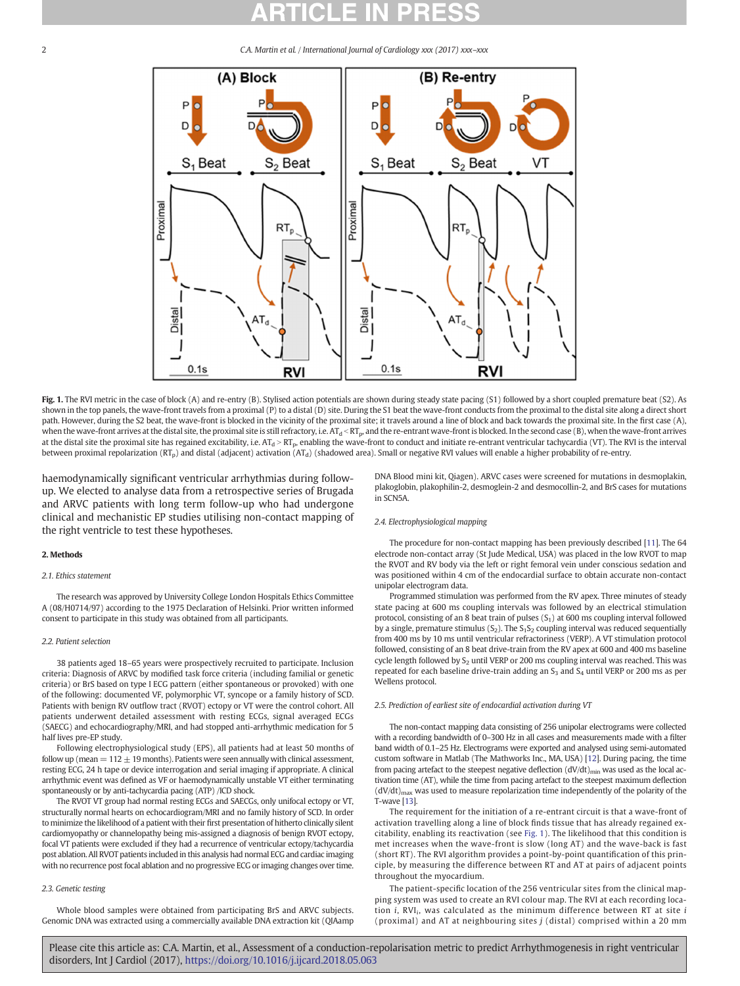<span id="page-1-0"></span>

Fig. 1. The RVI metric in the case of block (A) and re-entry (B). Stylised action potentials are shown during steady state pacing (S1) followed by a short coupled premature beat (S2). As shown in the top panels, the wave-front travels from a proximal (P) to a distal (D) site. During the S1 beat the wave-front conducts from the proximal to the distal site along a direct short path. However, during the S2 beat, the wave-front is blocked in the vicinity of the proximal site; it travels around a line of block and back towards the proximal site. In the first case (A), when the wave-front arrives at the distal site, the proximal site is still refractory, i.e. AT<sub>d</sub> < RT<sub>p</sub>, and the re-entrant wave-front is blocked. In the second case (B), when the wave-front arrives at the distal site the proximal site has regained excitability, i.e.  $AT_d > RT_p$ , enabling the wave-front to conduct and initiate re-entrant ventricular tachycardia (VT). The RVI is the interval between proximal repolarization (RT<sub>p</sub>) and distal (adjacent) activation (AT<sub>d</sub>) (shadowed area). Small or negative RVI values will enable a higher probability of re-entry.

haemodynamically significant ventricular arrhythmias during followup. We elected to analyse data from a retrospective series of Brugada and ARVC patients with long term follow-up who had undergone clinical and mechanistic EP studies utilising non-contact mapping of the right ventricle to test these hypotheses.

### 2. Methods

### 2.1. Ethics statement

The research was approved by University College London Hospitals Ethics Committee A (08/H0714/97) according to the 1975 Declaration of Helsinki. Prior written informed consent to participate in this study was obtained from all participants.

### 2.2. Patient selection

38 patients aged 18–65 years were prospectively recruited to participate. Inclusion criteria: Diagnosis of ARVC by modified task force criteria (including familial or genetic criteria) or BrS based on type I ECG pattern (either spontaneous or provoked) with one of the following: documented VF, polymorphic VT, syncope or a family history of SCD. Patients with benign RV outflow tract (RVOT) ectopy or VT were the control cohort. All patients underwent detailed assessment with resting ECGs, signal averaged ECGs (SAECG) and echocardiography/MRI, and had stopped anti-arrhythmic medication for 5 half lives pre-EP study.

Following electrophysiological study (EPS), all patients had at least 50 months of follow up (mean  $= 112 \pm 19$  months). Patients were seen annually with clinical assessment, resting ECG, 24 h tape or device interrogation and serial imaging if appropriate. A clinical arrhythmic event was defined as VF or haemodynamically unstable VT either terminating spontaneously or by anti-tachycardia pacing (ATP) /ICD shock.

The RVOT VT group had normal resting ECGs and SAECGs, only unifocal ectopy or VT, structurally normal hearts on echocardiogram/MRI and no family history of SCD. In order to minimize the likelihood of a patient with their first presentation of hitherto clinically silent cardiomyopathy or channelopathy being mis-assigned a diagnosis of benign RVOT ectopy, focal VT patients were excluded if they had a recurrence of ventricular ectopy/tachycardia post ablation. All RVOT patients included in this analysis had normal ECG and cardiac imaging with no recurrence post focal ablation and no progressive ECG or imaging changes over time.

#### 2.3. Genetic testing

Whole blood samples were obtained from participating BrS and ARVC subjects. Genomic DNA was extracted using a commercially available DNA extraction kit (QIAamp DNA Blood mini kit, Qiagen). ARVC cases were screened for mutations in desmoplakin, plakoglobin, plakophilin-2, desmoglein-2 and desmocollin-2, and BrS cases for mutations in SCN5A.

## 2.4. Electrophysiological mapping

The procedure for non-contact mapping has been previously described [[11\]](#page-5-0). The 64 electrode non-contact array (St Jude Medical, USA) was placed in the low RVOT to map the RVOT and RV body via the left or right femoral vein under conscious sedation and was positioned within 4 cm of the endocardial surface to obtain accurate non-contact unipolar electrogram data.

Programmed stimulation was performed from the RV apex. Three minutes of steady state pacing at 600 ms coupling intervals was followed by an electrical stimulation protocol, consisting of an 8 beat train of pulses  $(S_1)$  at 600 ms coupling interval followed by a single, premature stimulus  $(S_2)$ . The  $S_1S_2$  coupling interval was reduced sequentially from 400 ms by 10 ms until ventricular refractoriness (VERP). A VT stimulation protocol followed, consisting of an 8 beat drive-train from the RV apex at 600 and 400 ms baseline cycle length followed by  $S_2$  until VERP or 200 ms coupling interval was reached. This was repeated for each baseline drive-train adding an  $S_3$  and  $S_4$  until VERP or 200 ms as per Wellens protocol.

### 2.5. Prediction of earliest site of endocardial activation during VT

The non-contact mapping data consisting of 256 unipolar electrograms were collected with a recording bandwidth of 0–300 Hz in all cases and measurements made with a filter band width of 0.1–25 Hz. Electrograms were exported and analysed using semi-automated custom software in Matlab (The Mathworks Inc., MA, USA) [\[12](#page-5-0)]. During pacing, the time from pacing artefact to the steepest negative deflection  $(dV/dt)_{min}$  was used as the local activation time (AT), while the time from pacing artefact to the steepest maximum deflection  $(dV/dt)_{max}$  was used to measure repolarization time independently of the polarity of the T-wave [\[13\]](#page-5-0).

The requirement for the initiation of a re-entrant circuit is that a wave-front of activation travelling along a line of block finds tissue that has already regained excitability, enabling its reactivation (see Fig. 1). The likelihood that this condition is met increases when the wave-front is slow (long AT) and the wave-back is fast (short RT). The RVI algorithm provides a point-by-point quantification of this principle, by measuring the difference between RT and AT at pairs of adjacent points throughout the myocardium.

The patient-specific location of the 256 ventricular sites from the clinical mapping system was used to create an RVI colour map. The RVI at each recording location  $i$ , RVI<sub>i</sub>, was calculated as the minimum difference between RT at site  $i$ (proximal) and AT at neighbouring sites  $j$  (distal) comprised within a 20 mm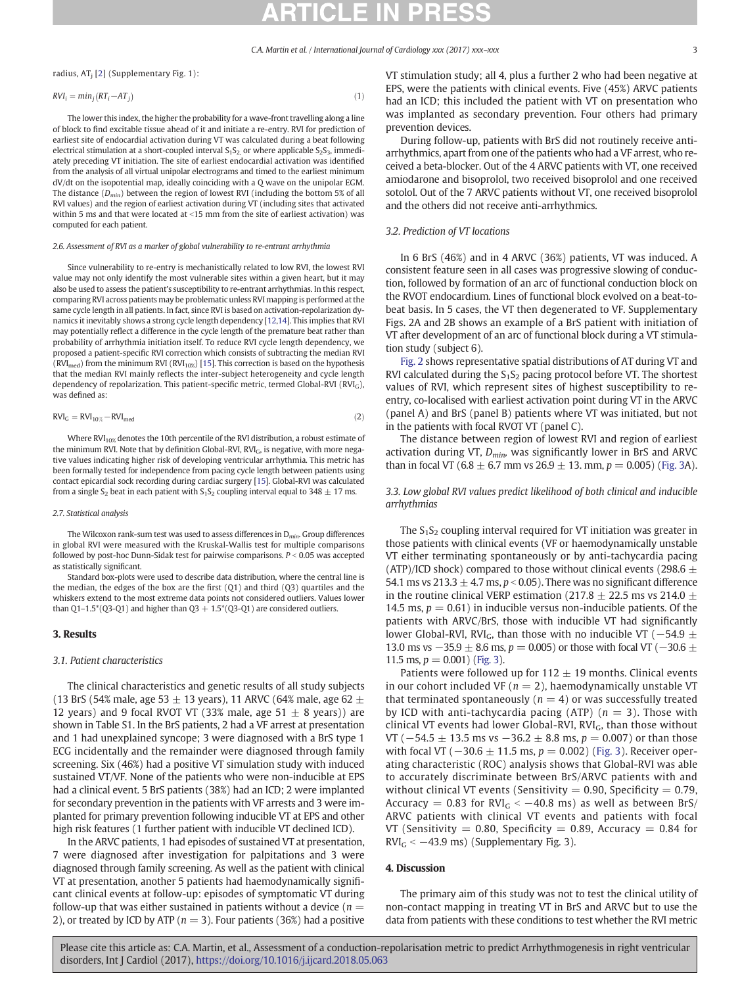$$
RVI_i = min_j (RT_i - AT_j)
$$
 (1)

The lower this index, the higher the probability for a wave-front travelling along a line of block to find excitable tissue ahead of it and initiate a re-entry. RVI for prediction of earliest site of endocardial activation during VT was calculated during a beat following electrical stimulation at a short-coupled interval  $S_1S_2$ , or where applicable  $S_2S_3$ , immediately preceding VT initiation. The site of earliest endocardial activation was identified from the analysis of all virtual unipolar electrograms and timed to the earliest minimum dV/dt on the isopotential map, ideally coinciding with a Q wave on the unipolar EGM. The distance  $(D_{min})$  between the region of lowest RVI (including the bottom 5% of all RVI values) and the region of earliest activation during VT (including sites that activated within 5 ms and that were located at  $\leq$ 15 mm from the site of earliest activation) was computed for each patient.

### 2.6. Assessment of RVI as a marker of global vulnerability to re-entrant arrhythmia

Since vulnerability to re-entry is mechanistically related to low RVI, the lowest RVI value may not only identify the most vulnerable sites within a given heart, but it may also be used to assess the patient's susceptibility to re-entrant arrhythmias. In this respect, comparing RVI across patients may be problematic unless RVI mapping is performed at the same cycle length in all patients. In fact, since RVI is based on activation-repolarization dynamics it inevitably shows a strong cycle length dependency [\[12](#page-5-0),[14\]](#page-5-0). This implies that RVI may potentially reflect a difference in the cycle length of the premature beat rather than probability of arrhythmia initiation itself. To reduce RVI cycle length dependency, we proposed a patient-specific RVI correction which consists of subtracting the median RVI (RVI<sub>med</sub>) from the minimum RVI (RVI<sub>10%</sub>) [\[15](#page-5-0)]. This correction is based on the hypothesis that the median RVI mainly reflects the inter-subject heterogeneity and cycle length dependency of repolarization. This patient-specific metric, termed Global-RVI ( $RU<sub>G</sub>$ ), was defined as:

$$
RVI_G = RVI_{10\%} - RVI_{med} \tag{2}
$$

Where  $RVI_{10\%}$  denotes the 10th percentile of the RVI distribution, a robust estimate of the minimum RVI. Note that by definition Global-RVI, RVI<sub>G</sub>, is negative, with more negative values indicating higher risk of developing ventricular arrhythmia. This metric has been formally tested for independence from pacing cycle length between patients using contact epicardial sock recording during cardiac surgery [[15\]](#page-5-0). Global-RVI was calculated from a single S<sub>2</sub> beat in each patient with  $S_1S_2$  coupling interval equal to 348  $\pm$  17 ms.

#### 2.7. Statistical analysis

The Wilcoxon rank-sum test was used to assess differences in  $D_{min}$ . Group differences in global RVI were measured with the Kruskal-Wallis test for multiple comparisons followed by post-hoc Dunn-Sidak test for pairwise comparisons,  $P < 0.05$  was accepted as statistically significant.

Standard box-plots were used to describe data distribution, where the central line is the median, the edges of the box are the first (Q1) and third (Q3) quartiles and the whiskers extend to the most extreme data points not considered outliers. Values lower than Q1-1.5\*(Q3-Q1) and higher than  $Q3 + 1.5*(Q3-Q1)$  are considered outliers.

### 3. Results

### 3.1. Patient characteristics

The clinical characteristics and genetic results of all study subjects (13 BrS (54% male, age 53  $\pm$  13 years), 11 ARVC (64% male, age 62  $\pm$ 12 years) and 9 focal RVOT VT (33% male, age  $51 \pm 8$  years)) are shown in Table S1. In the BrS patients, 2 had a VF arrest at presentation and 1 had unexplained syncope; 3 were diagnosed with a BrS type 1 ECG incidentally and the remainder were diagnosed through family screening. Six (46%) had a positive VT simulation study with induced sustained VT/VF. None of the patients who were non-inducible at EPS had a clinical event. 5 BrS patients (38%) had an ICD; 2 were implanted for secondary prevention in the patients with VF arrests and 3 were implanted for primary prevention following inducible VT at EPS and other high risk features (1 further patient with inducible VT declined ICD).

In the ARVC patients, 1 had episodes of sustained VT at presentation, 7 were diagnosed after investigation for palpitations and 3 were diagnosed through family screening. As well as the patient with clinical VT at presentation, another 5 patients had haemodynamically significant clinical events at follow-up: episodes of symptomatic VT during follow-up that was either sustained in patients without a device ( $n =$ 2), or treated by ICD by ATP ( $n = 3$ ). Four patients (36%) had a positive VT stimulation study; all 4, plus a further 2 who had been negative at EPS, were the patients with clinical events. Five (45%) ARVC patients had an ICD; this included the patient with VT on presentation who was implanted as secondary prevention. Four others had primary prevention devices.

During follow-up, patients with BrS did not routinely receive antiarrhythmics, apart from one of the patients who had a VF arrest, who received a beta-blocker. Out of the 4 ARVC patients with VT, one received amiodarone and bisoprolol, two received bisoprolol and one received sotolol. Out of the 7 ARVC patients without VT, one received bisoprolol and the others did not receive anti-arrhythmics.

## 3.2. Prediction of VT locations

In 6 BrS (46%) and in 4 ARVC (36%) patients, VT was induced. A consistent feature seen in all cases was progressive slowing of conduction, followed by formation of an arc of functional conduction block on the RVOT endocardium. Lines of functional block evolved on a beat-tobeat basis. In 5 cases, the VT then degenerated to VF. Supplementary Figs. 2A and 2B shows an example of a BrS patient with initiation of VT after development of an arc of functional block during a VT stimulation study (subject 6).

[Fig. 2](#page-3-0) shows representative spatial distributions of AT during VT and RVI calculated during the  $S_1S_2$  pacing protocol before VT. The shortest values of RVI, which represent sites of highest susceptibility to reentry, co-localised with earliest activation point during VT in the ARVC (panel A) and BrS (panel B) patients where VT was initiated, but not in the patients with focal RVOT VT (panel C).

The distance between region of lowest RVI and region of earliest activation during VT,  $D_{min}$ , was significantly lower in BrS and ARVC than in focal VT (6.8  $\pm$  6.7 mm vs 26.9  $\pm$  13. mm,  $p = 0.005$ ) ([Fig. 3](#page-4-0)A).

# 3.3. Low global RVI values predict likelihood of both clinical and inducible arrhythmias

The  $S_1S_2$  coupling interval required for VT initiation was greater in those patients with clinical events (VF or haemodynamically unstable VT either terminating spontaneously or by anti-tachycardia pacing (ATP)/ICD shock) compared to those without clinical events (298.6  $\pm$ 54.1 ms vs 213.3  $\pm$  4.7 ms, p < 0.05). There was no significant difference in the routine clinical VERP estimation (217.8  $\pm$  22.5 ms vs 214.0  $\pm$ 14.5 ms,  $p = 0.61$ ) in inducible versus non-inducible patients. Of the patients with ARVC/BrS, those with inducible VT had significantly lower Global-RVI, RVI<sub>G</sub>, than those with no inducible VT ( $-54.9 \pm$ 13.0 ms vs  $-35.9 \pm 8.6$  ms,  $p = 0.005$ ) or those with focal VT ( $-30.6 \pm 1.6$ 11.5 ms,  $p = 0.001$  [\(Fig. 3\)](#page-4-0).

Patients were followed up for  $112 \pm 19$  months. Clinical events in our cohort included VF ( $n = 2$ ), haemodynamically unstable VT that terminated spontaneously ( $n = 4$ ) or was successfully treated by ICD with anti-tachycardia pacing (ATP) ( $n = 3$ ). Those with clinical VT events had lower Global-RVI, RVI<sub>G</sub>, than those without VT ( $-54.5 \pm 13.5$  ms vs  $-36.2 \pm 8.8$  ms,  $p = 0.007$ ) or than those with focal VT ( $-30.6 \pm 11.5$  ms,  $p = 0.002$ ) [\(Fig. 3\)](#page-4-0). Receiver operating characteristic (ROC) analysis shows that Global-RVI was able to accurately discriminate between BrS/ARVC patients with and without clinical VT events (Sensitivity  $= 0.90$ , Specificity  $= 0.79$ , Accuracy = 0.83 for  $RVI_G < -40.8$  ms) as well as between BrS/ ARVC patients with clinical VT events and patients with focal VT (Sensitivity = 0.80, Specificity = 0.89, Accuracy = 0.84 for  $RVI_G < -43.9$  ms) (Supplementary Fig. 3).

## 4. Discussion

The primary aim of this study was not to test the clinical utility of non-contact mapping in treating VT in BrS and ARVC but to use the data from patients with these conditions to test whether the RVI metric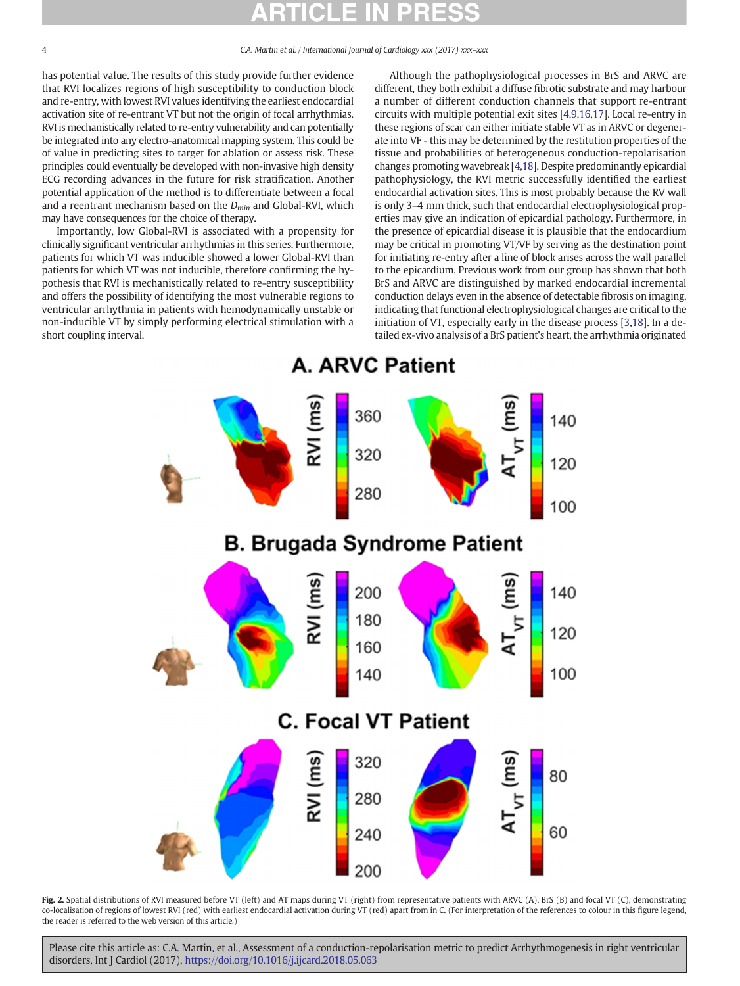<span id="page-3-0"></span>

has potential value. The results of this study provide further evidence that RVI localizes regions of high susceptibility to conduction block and re-entry, with lowest RVI values identifying the earliest endocardial activation site of re-entrant VT but not the origin of focal arrhythmias. RVI is mechanistically related to re-entry vulnerability and can potentially be integrated into any electro-anatomical mapping system. This could be of value in predicting sites to target for ablation or assess risk. These principles could eventually be developed with non-invasive high density ECG recording advances in the future for risk stratification. Another potential application of the method is to differentiate between a focal and a reentrant mechanism based on the  $D_{min}$  and Global-RVI, which may have consequences for the choice of therapy.

Importantly, low Global-RVI is associated with a propensity for clinically significant ventricular arrhythmias in this series. Furthermore, patients for which VT was inducible showed a lower Global-RVI than patients for which VT was not inducible, therefore confirming the hypothesis that RVI is mechanistically related to re-entry susceptibility and offers the possibility of identifying the most vulnerable regions to ventricular arrhythmia in patients with hemodynamically unstable or non-inducible VT by simply performing electrical stimulation with a short coupling interval.

Although the pathophysiological processes in BrS and ARVC are different, they both exhibit a diffuse fibrotic substrate and may harbour a number of different conduction channels that support re-entrant circuits with multiple potential exit sites [[4,9,16,17](#page-5-0)]. Local re-entry in these regions of scar can either initiate stable VT as in ARVC or degenerate into VF - this may be determined by the restitution properties of the tissue and probabilities of heterogeneous conduction-repolarisation changes promoting wavebreak [\[4,18](#page-5-0)]. Despite predominantly epicardial pathophysiology, the RVI metric successfully identified the earliest endocardial activation sites. This is most probably because the RV wall is only 3–4 mm thick, such that endocardial electrophysiological properties may give an indication of epicardial pathology. Furthermore, in the presence of epicardial disease it is plausible that the endocardium may be critical in promoting VT/VF by serving as the destination point for initiating re-entry after a line of block arises across the wall parallel to the epicardium. Previous work from our group has shown that both BrS and ARVC are distinguished by marked endocardial incremental conduction delays even in the absence of detectable fibrosis on imaging, indicating that functional electrophysiological changes are critical to the initiation of VT, especially early in the disease process [[3](#page-5-0),[18\]](#page-5-0). In a detailed ex-vivo analysis of a BrS patient's heart, the arrhythmia originated

# **A. ARVC Patient** RVI (ms 360 140 320 120 280 100 **B. Brugada Syndrome Patient** RVI<sub>(ms</sub> 200 140 180 120 ₫ 160 100 140 **C. Focal VT Patient** RVI (ms) ms 320 80 280 60 240 200

Fig. 2. Spatial distributions of RVI measured before VT (left) and AT maps during VT (right) from representative patients with ARVC (A), BrS (B) and focal VT (C), demonstrating co-localisation of regions of lowest RVI (red) with earliest endocardial activation during VT (red) apart from in C. (For interpretation of the references to colour in this figure legend, the reader is referred to the web version of this article.)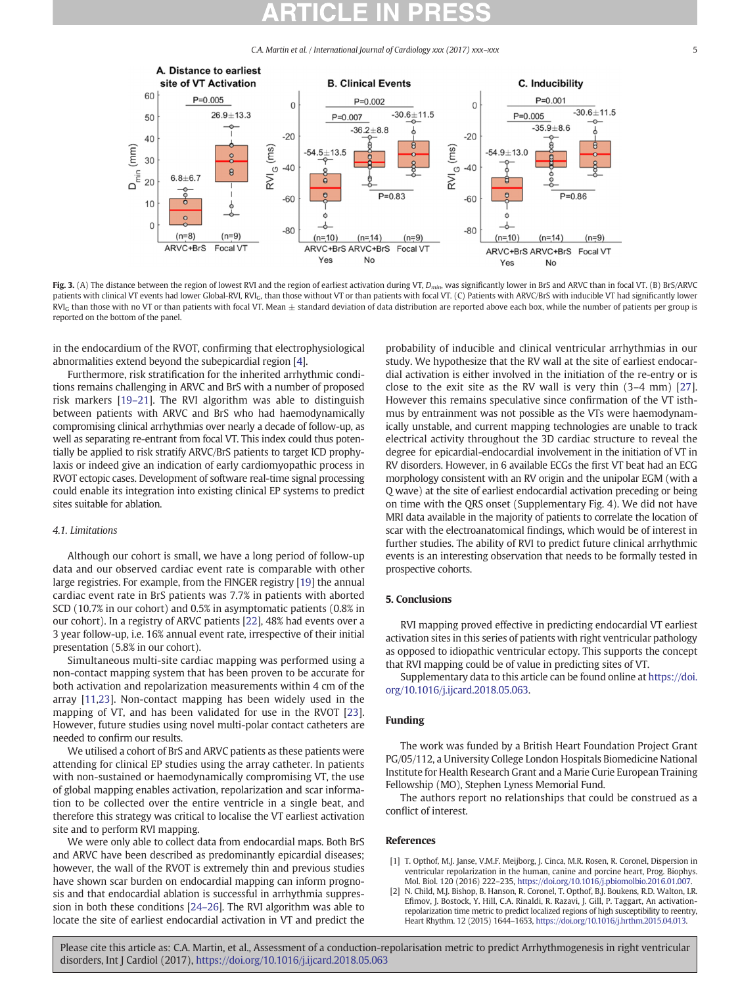<span id="page-4-0"></span>

Fig. 3. (A) The distance between the region of lowest RVI and the region of earliest activation during VT, D<sub>min</sub>, was significantly lower in BrS and ARVC than in focal VT. (B) BrS/ARVC patients with clinical VT events had lower Global-RVI, RVI<sub>G</sub>, than those without VT or than patients with focal VT. (C) Patients with ARVC/BrS with inducible VT had significantly lower  $RV$ I<sub>G</sub> than those with no VT or than patients with focal VT. Mean  $\pm$  standard deviation of data distribution are reported above each box, while the number of patients per group is reported on the bottom of the panel.

in the endocardium of the RVOT, confirming that electrophysiological abnormalities extend beyond the subepicardial region [[4](#page-5-0)].

Furthermore, risk stratification for the inherited arrhythmic conditions remains challenging in ARVC and BrS with a number of proposed risk markers [\[19](#page-5-0)–21]. The RVI algorithm was able to distinguish between patients with ARVC and BrS who had haemodynamically compromising clinical arrhythmias over nearly a decade of follow-up, as well as separating re-entrant from focal VT. This index could thus potentially be applied to risk stratify ARVC/BrS patients to target ICD prophylaxis or indeed give an indication of early cardiomyopathic process in RVOT ectopic cases. Development of software real-time signal processing could enable its integration into existing clinical EP systems to predict sites suitable for ablation.

# 4.1. Limitations

Although our cohort is small, we have a long period of follow-up data and our observed cardiac event rate is comparable with other large registries. For example, from the FINGER registry [\[19](#page-5-0)] the annual cardiac event rate in BrS patients was 7.7% in patients with aborted SCD (10.7% in our cohort) and 0.5% in asymptomatic patients (0.8% in our cohort). In a registry of ARVC patients [\[22](#page-5-0)], 48% had events over a 3 year follow-up, i.e. 16% annual event rate, irrespective of their initial presentation (5.8% in our cohort).

Simultaneous multi-site cardiac mapping was performed using a non-contact mapping system that has been proven to be accurate for both activation and repolarization measurements within 4 cm of the array [\[11,23\]](#page-5-0). Non-contact mapping has been widely used in the mapping of VT, and has been validated for use in the RVOT [[23\]](#page-5-0). However, future studies using novel multi-polar contact catheters are needed to confirm our results.

We utilised a cohort of BrS and ARVC patients as these patients were attending for clinical EP studies using the array catheter. In patients with non-sustained or haemodynamically compromising VT, the use of global mapping enables activation, repolarization and scar information to be collected over the entire ventricle in a single beat, and therefore this strategy was critical to localise the VT earliest activation site and to perform RVI mapping.

We were only able to collect data from endocardial maps. Both BrS and ARVC have been described as predominantly epicardial diseases; however, the wall of the RVOT is extremely thin and previous studies have shown scar burden on endocardial mapping can inform prognosis and that endocardial ablation is successful in arrhythmia suppression in both these conditions [24–[26](#page-5-0)]. The RVI algorithm was able to locate the site of earliest endocardial activation in VT and predict the probability of inducible and clinical ventricular arrhythmias in our study. We hypothesize that the RV wall at the site of earliest endocardial activation is either involved in the initiation of the re-entry or is close to the exit site as the RV wall is very thin (3–4 mm) [[27\]](#page-5-0). However this remains speculative since confirmation of the VT isthmus by entrainment was not possible as the VTs were haemodynamically unstable, and current mapping technologies are unable to track electrical activity throughout the 3D cardiac structure to reveal the degree for epicardial-endocardial involvement in the initiation of VT in RV disorders. However, in 6 available ECGs the first VT beat had an ECG morphology consistent with an RV origin and the unipolar EGM (with a Q wave) at the site of earliest endocardial activation preceding or being on time with the QRS onset (Supplementary Fig. 4). We did not have MRI data available in the majority of patients to correlate the location of scar with the electroanatomical findings, which would be of interest in further studies. The ability of RVI to predict future clinical arrhythmic events is an interesting observation that needs to be formally tested in prospective cohorts.

# 5. Conclusions

RVI mapping proved effective in predicting endocardial VT earliest activation sites in this series of patients with right ventricular pathology as opposed to idiopathic ventricular ectopy. This supports the concept that RVI mapping could be of value in predicting sites of VT.

Supplementary data to this article can be found online at [https://doi.](https://doi.org/10.1016/j.ijcard.2018.05.063) [org/10.1016/j.ijcard.2018.05.063](https://doi.org/10.1016/j.ijcard.2018.05.063).

### Funding

The work was funded by a British Heart Foundation Project Grant PG/05/112, a University College London Hospitals Biomedicine National Institute for Health Research Grant and a Marie Curie European Training Fellowship (MO), Stephen Lyness Memorial Fund.

The authors report no relationships that could be construed as a conflict of interest.

# References

- [1] T. Opthof, M.J. Janse, V.M.F. Meijborg, J. Cinca, M.R. Rosen, R. Coronel, Dispersion in ventricular repolarization in the human, canine and porcine heart, Prog. Biophys. Mol. Biol. 120 (2016) 222–235, <https://doi.org/10.1016/j.pbiomolbio.2016.01.007>.
- [2] N. Child, M.J. Bishop, B. Hanson, R. Coronel, T. Opthof, B.J. Boukens, R.D. Walton, I.R. Efimov, J. Bostock, Y. Hill, C.A. Rinaldi, R. Razavi, J. Gill, P. Taggart, An activationrepolarization time metric to predict localized regions of high susceptibility to reentry, Heart Rhythm. 12 (2015) 1644–1653, <https://doi.org/10.1016/j.hrthm.2015.04.013>.